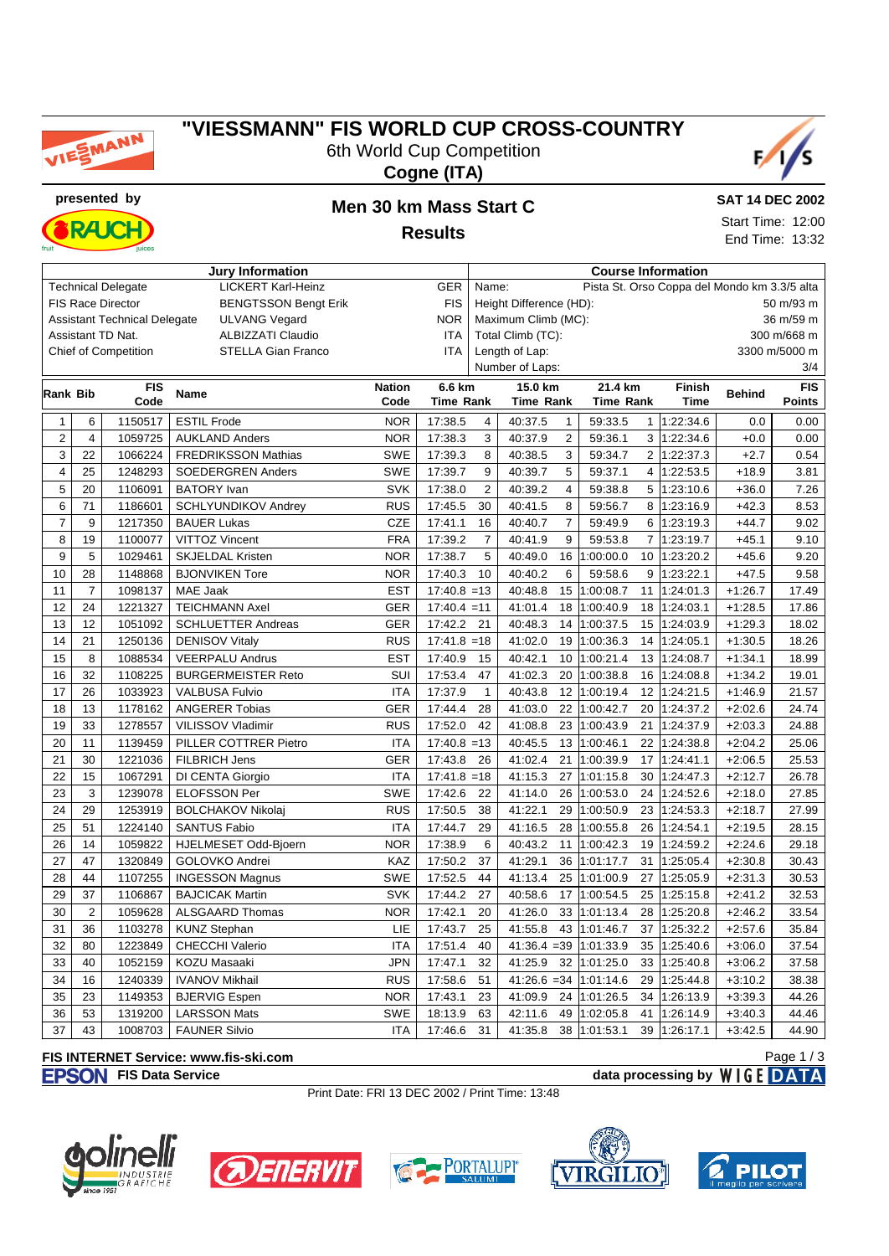

# **"VIESSMANN" FIS WORLD CUP CROSS-COUNTRY** 6th World Cup Competition





**RAICI** 

# **presented by Men 30 km Mass Start C**

**Results**



End Time: 13:32

| <b>Jury Information</b>                                              |                |                             |                            |               |                  | <b>Course Information</b>                             |                           |                  |                |               |               |               |  |
|----------------------------------------------------------------------|----------------|-----------------------------|----------------------------|---------------|------------------|-------------------------------------------------------|---------------------------|------------------|----------------|---------------|---------------|---------------|--|
| <b>LICKERT Karl-Heinz</b><br><b>Technical Delegate</b><br><b>GER</b> |                |                             |                            |               |                  | Pista St. Orso Coppa del Mondo km 3.3/5 alta<br>Name: |                           |                  |                |               |               |               |  |
| <b>FIS Race Director</b><br><b>BENGTSSON Bengt Erik</b>              |                |                             |                            |               | <b>FIS</b>       | Height Difference (HD):                               |                           |                  |                |               |               | 50 m/93 m     |  |
| <b>Assistant Technical Delegate</b><br><b>ULVANG Vegard</b>          |                |                             |                            |               | <b>NOR</b>       |                                                       | Maximum Climb (MC):       |                  |                |               |               |               |  |
| Assistant TD Nat.<br><b>ALBIZZATI Claudio</b>                        |                |                             |                            |               | ITA              |                                                       | Total Climb (TC):         |                  |                |               |               | 300 m/668 m   |  |
|                                                                      |                | <b>Chief of Competition</b> | <b>STELLA Gian Franco</b>  |               | <b>ITA</b>       |                                                       | Length of Lap:            |                  |                |               |               | 3300 m/5000 m |  |
|                                                                      |                |                             |                            |               |                  |                                                       | Number of Laps:           |                  |                |               |               | 3/4           |  |
|                                                                      |                | <b>FIS</b>                  | <b>Name</b>                | <b>Nation</b> | 6.6 km           |                                                       | 15.0 km                   | 21.4 km          |                | <b>Finish</b> | <b>Behind</b> | FIS           |  |
| Rank Bib                                                             |                | Code                        |                            | Code          | <b>Time Rank</b> |                                                       | <b>Time Rank</b>          | <b>Time Rank</b> |                | <b>Time</b>   |               | <b>Points</b> |  |
| $\mathbf{1}$                                                         | 6              | 1150517                     | <b>ESTIL Frode</b>         | <b>NOR</b>    | 17:38.5          | $\overline{4}$                                        | 40:37.5<br>$\mathbf{1}$   | 59:33.5          | $\mathbf{1}$   | 1:22:34.6     | 0.0           | 0.00          |  |
| $\overline{2}$                                                       | $\overline{4}$ | 1059725                     | <b>AUKLAND Anders</b>      | <b>NOR</b>    | 17:38.3          | 3                                                     | 40:37.9<br>$\overline{2}$ | 59:36.1          |                | 3 1:22:34.6   | $+0.0$        | 0.00          |  |
| 3                                                                    | 22             | 1066224                     | <b>FREDRIKSSON Mathias</b> | <b>SWE</b>    | 17:39.3          | 8                                                     | 40:38.5<br>3              | 59:34.7          | $\overline{2}$ | 1:22:37.3     | $+2.7$        | 0.54          |  |
| $\overline{\mathbf{4}}$                                              | 25             | 1248293                     | SOEDERGREN Anders          | <b>SWE</b>    | 17:39.7          | 9                                                     | 5<br>40:39.7              | 59:37.1          | 4              | 1:22:53.5     | $+18.9$       | 3.81          |  |
| 5                                                                    | 20             | 1106091                     | <b>BATORY</b> Ivan         | <b>SVK</b>    | 17:38.0          | $\overline{2}$                                        | 40:39.2<br>$\overline{4}$ | 59:38.8          | 5              | 1:23:10.6     | $+36.0$       | 7.26          |  |
| $\,6$                                                                | 71             | 1186601                     | SCHLYUNDIKOV Andrey        | <b>RUS</b>    | 17:45.5          | 30                                                    | 40:41.5<br>8              | 59:56.7          | 8              | 1:23:16.9     | $+42.3$       | 8.53          |  |
| $\overline{7}$                                                       | 9              | 1217350                     | <b>BAUER Lukas</b>         | <b>CZE</b>    | 17:41.1          | 16                                                    | 40:40.7<br>$\overline{7}$ | 59:49.9          |                | 6 1:23:19.3   | $+44.7$       | 9.02          |  |
| 8                                                                    | 19             | 1100077                     | VITTOZ Vincent             | <b>FRA</b>    | 17:39.2          | $\overline{7}$                                        | 40:41.9<br>9              | 59:53.8          | $\overline{7}$ | 1:23:19.7     | $+45.1$       | 9.10          |  |
| 9                                                                    | 5              | 1029461                     | <b>SKJELDAL Kristen</b>    | <b>NOR</b>    | 17:38.7          | 5                                                     | 40:49.0<br>16             | 1:00:00.0        | 10             | 1:23:20.2     | $+45.6$       | 9.20          |  |
| 10                                                                   | 28             | 1148868                     | <b>BJONVIKEN Tore</b>      | <b>NOR</b>    | 17:40.3          | 10                                                    | 40:40.2<br>6              | 59:58.6          | 9              | 1:23:22.1     | $+47.5$       | 9.58          |  |
| 11                                                                   | $\overline{7}$ | 1098137                     | MAE Jaak                   | <b>EST</b>    | $17:40.8 = 13$   |                                                       | 15<br>40:48.8             | 1:00:08.7        | 11             | 1:24:01.3     | $+1:26.7$     | 17.49         |  |
| 12                                                                   | 24             | 1221327                     | <b>TEICHMANN Axel</b>      | <b>GER</b>    | $17:40.4 = 11$   |                                                       | 41:01.4<br>18             | 1:00:40.9        | 18             | 1:24:03.1     | $+1:28.5$     | 17.86         |  |
| 13                                                                   | 12             | 1051092                     | <b>SCHLUETTER Andreas</b>  | <b>GER</b>    | 17:42.2          | 21                                                    | 40:48.3<br>14             | 1:00:37.5        | 15             | 1:24:03.9     | $+1:29.3$     | 18.02         |  |
| 14                                                                   | 21             | 1250136                     | <b>DENISOV Vitaly</b>      | <b>RUS</b>    | $17:41.8 = 18$   |                                                       | 41:02.0<br>19             | 1:00:36.3        | 14             | 1:24:05.1     | $+1:30.5$     | 18.26         |  |
| 15                                                                   | 8              | 1088534                     | <b>VEERPALU Andrus</b>     | <b>EST</b>    | 17:40.9          | 15                                                    | 40:42.1<br>10             | 1:00:21.4        | 13             | 1:24:08.7     | $+1:34.1$     | 18.99         |  |
| 16                                                                   | 32             | 1108225                     | <b>BURGERMEISTER Reto</b>  | SUI           | 17:53.4          | 47                                                    | 41:02.3<br>20             | 1:00:38.8        | 16             | 1:24:08.8     | $+1:34.2$     | 19.01         |  |
| 17                                                                   | 26             | 1033923                     | <b>VALBUSA Fulvio</b>      | <b>ITA</b>    | 17:37.9          | $\mathbf{1}$                                          | 40:43.8<br>12             | 1:00:19.4        | 12             | 1:24:21.5     | $+1:46.9$     | 21.57         |  |
| 18                                                                   | 13             | 1178162                     | <b>ANGERER Tobias</b>      | <b>GER</b>    | 17:44.4          | 28                                                    | 41:03.0<br>22             | 1:00:42.7        | 20             | 1:24:37.2     | $+2:02.6$     | 24.74         |  |
| 19                                                                   | 33             | 1278557                     | VILISSOV Vladimir          | <b>RUS</b>    | 17:52.0          | 42                                                    | 41:08.8<br>23             | 1:00:43.9        | 21             | 1:24:37.9     | $+2:03.3$     | 24.88         |  |
| 20                                                                   | 11             | 1139459                     | PILLER COTTRER Pietro      | <b>ITA</b>    | $17:40.8 = 13$   |                                                       | 40:45.5<br>13             | 1:00:46.1        | 22             | 1:24:38.8     | $+2:04.2$     | 25.06         |  |
| 21                                                                   | 30             | 1221036                     | <b>FILBRICH Jens</b>       | <b>GER</b>    | 17:43.8          | 26                                                    | 41:02.4<br>21             | 1:00:39.9        | 17             | 1:24:41.1     | $+2:06.5$     | 25.53         |  |
| 22                                                                   | 15             | 1067291                     | DI CENTA Giorgio           | <b>ITA</b>    | $17:41.8 = 18$   |                                                       | 41:15.3<br>27             | 1:01:15.8        | 30             | 1:24:47.3     | $+2:12.7$     | 26.78         |  |
| 23                                                                   | 3              | 1239078                     | <b>ELOFSSON Per</b>        | <b>SWE</b>    | 17:42.6          | 22                                                    | 41:14.0<br>26             | 1:00:53.0        | 24             | 1:24:52.6     | $+2:18.0$     | 27.85         |  |
| 24                                                                   | 29             | 1253919                     | <b>BOLCHAKOV Nikolaj</b>   | <b>RUS</b>    | 17:50.5          | 38                                                    | 41:22.1<br>29             | 1:00:50.9        | 23             | 1:24:53.3     | $+2:18.7$     | 27.99         |  |
| 25                                                                   | 51             | 1224140                     | <b>SANTUS Fabio</b>        | <b>ITA</b>    | 17:44.7          | 29                                                    | 28<br>41:16.5             | 1:00:55.8        | 26             | 1:24:54.1     | $+2:19.5$     | 28.15         |  |
| 26                                                                   | 14             | 1059822                     | HJELMESET Odd-Bjoern       | <b>NOR</b>    | 17:38.9          | 6                                                     | 40:43.2<br>11             | 1:00:42.3        | 19             | 1:24:59.2     | $+2:24.6$     | 29.18         |  |
| 27                                                                   | 47             | 1320849                     | GOLOVKO Andrei             | KAZ           | 17:50.2          | 37                                                    | 41:29.1<br>36             | 1:01:17.7        | 31             | 1:25:05.4     | $+2:30.8$     | 30.43         |  |
| 28                                                                   | 44             | 1107255                     | <b>INGESSON Magnus</b>     | <b>SWE</b>    | 17:52.5          | 44                                                    | 41:13.4<br>25             | 1:01:00.9        | 27             | 1:25:05.9     | $+2:31.3$     | 30.53         |  |
| 29                                                                   | 37             | 1106867                     | <b>BAJCICAK Martin</b>     | SVK           | 17:44.2          | 27                                                    | 40:58.6<br>17             | 1:00:54.5        | 25             | 1:25:15.8     | $+2:41.2$     | 32.53         |  |
| 30                                                                   | $\overline{2}$ | 1059628                     | <b>ALSGAARD Thomas</b>     | <b>NOR</b>    | 17:42.1          | 20                                                    | 41:26.0<br>33             | 1:01:13.4        | 28             | 1:25:20.8     | $+2:46.2$     | 33.54         |  |
| 31                                                                   | 36             | 1103278                     | <b>KUNZ Stephan</b>        | LIE           | 17:43.7          | 25                                                    | 41:55.8<br>43             | 1:01:46.7        | 37             | 1:25:32.2     | $+2:57.6$     | 35.84         |  |
| 32                                                                   | 80             | 1223849                     | <b>CHECCHI Valerio</b>     | <b>ITA</b>    | 17:51.4          | 40                                                    | $41:36.4 = 39$            | 1:01:33.9        | 35             | 1:25:40.6     | $+3:06.0$     | 37.54         |  |
| 33                                                                   | 40             | 1052159                     | KOZU Masaaki               | <b>JPN</b>    | 17:47.1          | 32                                                    | 41:25.9<br>32             | 1:01:25.0        | 33             | 1:25:40.8     | $+3:06.2$     | 37.58         |  |
| 34                                                                   | 16             | 1240339                     | <b>IVANOV Mikhail</b>      | <b>RUS</b>    | 17:58.6          | 51                                                    | $41:26.6 = 34$            | 1:01:14.6        | 29             | 1:25:44.8     | $+3:10.2$     | 38.38         |  |
| 35                                                                   | 23             | 1149353                     | <b>BJERVIG Espen</b>       | <b>NOR</b>    | 17:43.1          | 23                                                    | 41:09.9<br>24             | 1:01:26.5        | 34             | 1:26:13.9     | $+3:39.3$     | 44.26         |  |
| 36                                                                   | 53             | 1319200                     | <b>LARSSON Mats</b>        | <b>SWE</b>    | 18:13.9          | 63                                                    | 42:11.6<br>49             | 1:02:05.8        | 41             | 1:26:14.9     | $+3:40.3$     | 44.46         |  |
| 37                                                                   | 43             | 1008703                     | <b>FAUNER Silvio</b>       | <b>ITA</b>    | 17:46.6          | 31                                                    | 41:35.8                   | 38 1:01:53.1     | 39             | 1:26:17.1     | $+3:42.5$     | 44.90         |  |

#### **FIS INTERNET Service: www.fis-ski.com**

**FISON** FIS Data Service **data processing by** WIGE DATA

Print Date: FRI 13 DEC 2002 / Print Time: 13:48











Page 1 / 3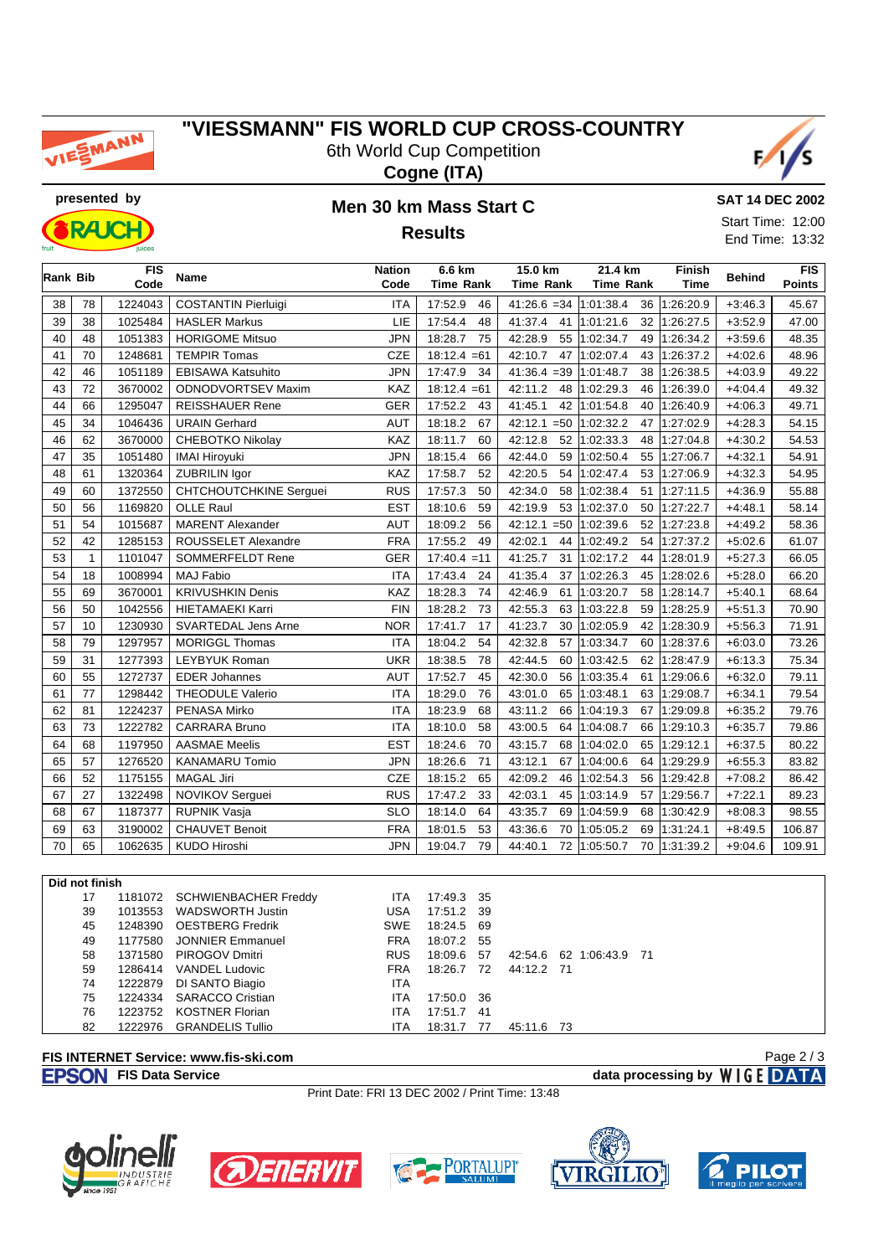

### **"VIESSMANN" FIS WORLD CUP CROSS-COUNTRY** 6th World Cup Competition





**RAIC** 

## **presented by Men 30 km Mass Start C Results**



End Time: 13:32

| Rank Bib |                | <b>FIS</b><br>Code | Name                          | <b>Nation</b><br>Code | 6.6 km<br><b>Time Rank</b> | 15.0 km<br><b>Time Rank</b> | 21.4 km<br><b>Time Rank</b> | Finish<br>Time | <b>Behind</b>          | <b>FIS</b><br><b>Points</b> |
|----------|----------------|--------------------|-------------------------------|-----------------------|----------------------------|-----------------------------|-----------------------------|----------------|------------------------|-----------------------------|
| 38       | 78             | 1224043            | <b>COSTANTIN Pierluigi</b>    | <b>ITA</b>            | 17:52.9<br>46              | 41:26.6 = 34 $ 1:01:38.4$   |                             | 36 1:26:20.9   | $+3:46.3$              | 45.67                       |
| 39       | 38             | 1025484            | <b>HASLER Markus</b>          | LIE                   | 17:54.4<br>48              | 41:37.4                     | 41 1:01:21.6<br>32          | 1:26:27.5      | $+3:52.9$              | 47.00                       |
| 40       | 48             | 1051383            | <b>HORIGOME Mitsuo</b>        | <b>JPN</b>            | 18:28.7<br>75              | 42:28.9                     | 55 1:02:34.7                | 1:26:34.2      |                        | 48.35                       |
| 41       | 70             | 1248681            | <b>TEMPIR Tomas</b>           | <b>CZE</b>            | $18:12.4 = 61$             | 42:10.7                     | 49<br>47 1:02:07.4<br>43    | 1:26:37.2      | $+3:59.6$<br>$+4:02.6$ | 48.96                       |
| 42       | 46             | 1051189            | <b>EBISAWA Katsuhito</b>      | <b>JPN</b>            | 17:47.9<br>34              | $41:36.4 = 39$              | 1:01:48.7<br>38             | 1:26:38.5      | $+4:03.9$              | 49.22                       |
| 43       | 72             | 3670002            | ODNODVORTSEV Maxim            | KAZ                   | $18:12.4 = 61$             | 42:11.2<br>48               | 1:02:29.3<br>46             | 1:26:39.0      | $+4:04.4$              | 49.32                       |
| 44       | 66             | 1295047            | <b>REISSHAUER Rene</b>        | <b>GER</b>            | 17:52.2<br>43              | 41:45.1                     | 42 1:01:54.8<br>40          | 1:26:40.9      | $+4:06.3$              | 49.71                       |
| 45       | 34             | 1046436            | <b>URAIN Gerhard</b>          | <b>AUT</b>            | 67<br>18:18.2              | $42:12.1 = 50$              | 1:02:32.2<br>47 I           | 1:27:02.9      | $+4:28.3$              | 54.15                       |
| 46       | 62             | 3670000            | <b>CHEBOTKO Nikolay</b>       | KAZ                   | 18:11.7<br>60              | 42:12.8<br>52               | 1:02:33.3<br>48             | 1:27:04.8      | $+4:30.2$              | 54.53                       |
| 47       | 35             | 1051480            | <b>IMAI Hiroyuki</b>          | <b>JPN</b>            | 18:15.4<br>66              | 42:44.0<br>59               | 1:02:50.4                   | 55 1:27:06.7   | $+4:32.1$              | 54.91                       |
| 48       | 61             | 1320364            | <b>ZUBRILIN Igor</b>          | KAZ                   | 17:58.7<br>52              | 42:20.5<br>54               | 1:02:47.4                   | 53 1:27:06.9   | $+4:32.3$              | 54.95                       |
| 49       | 60             | 1372550            | <b>CHTCHOUTCHKINE Serguei</b> | <b>RUS</b>            | 17:57.3<br>50              | 42:34.0<br>58               | 1:02:38.4<br>51             | 1:27:11.5      | $+4:36.9$              | 55.88                       |
| 50       | 56             | 1169820            | <b>OLLE Raul</b>              | <b>EST</b>            | 18:10.6<br>59              | 42:19.9<br>53               | 1:02:37.0<br>50             | 1:27:22.7      | $+4:48.1$              | 58.14                       |
| 51       | 54             | 1015687            | <b>MARENT Alexander</b>       | AUT                   | 18:09.2<br>56              | $42:12.1 = 50$              | 1:02:39.6<br>52             | 1:27:23.8      | $+4:49.2$              | 58.36                       |
| 52       | 42             | 1285153            | ROUSSELET Alexandre           | <b>FRA</b>            | 17:55.2<br>49              | 42:02.1<br>44               | 1:02:49.2<br>54             | 1:27:37.2      | $+5:02.6$              | 61.07                       |
| 53       | $\mathbf{1}$   | 1101047            | <b>SOMMERFELDT Rene</b>       | <b>GER</b>            | $17:40.4 = 11$             | 41:25.7<br>31               | 1:02:17.2<br>44             | 1:28:01.9      | $+5:27.3$              | 66.05                       |
| 54       | 18             | 1008994            | <b>MAJ Fabio</b>              | <b>ITA</b>            | 17:43.4<br>24              | 41:35.4                     | 37 1:02:26.3<br>45          | 1:28:02.6      | $+5:28.0$              | 66.20                       |
| 55       | 69             | 3670001            | <b>KRIVUSHKIN Denis</b>       | KAZ                   | 18:28.3<br>74              | 42:46.9<br>61               | 1:03:20.7<br>58             | 1:28:14.7      | $+5:40.1$              | 68.64                       |
| 56       | 50             | 1042556            | <b>HIETAMAEKI Karri</b>       | <b>FIN</b>            | 18:28.2<br>73              | 42:55.3<br>63               | 1:03:22.8<br>59             | 1:28:25.9      | $+5:51.3$              | 70.90                       |
| 57       | 10             | 1230930            | <b>SVARTEDAL Jens Arne</b>    | <b>NOR</b>            | 17:41.7<br>17              | 41:23.7<br>30               | 1:02:05.9<br>42             | 1:28:30.9      | $+5:56.3$              | 71.91                       |
| 58       | 79             | 1297957            | <b>MORIGGL Thomas</b>         | <b>ITA</b>            | 18:04.2<br>54              | 42:32.8<br>57               | 1:03:34.7<br>60             | 1:28:37.6      | $+6:03.0$              | 73.26                       |
| 59       | 31             | 1277393            | <b>LEYBYUK Roman</b>          | <b>UKR</b>            | 18:38.5<br>78              | 42:44.5<br>60               | 1:03:42.5<br>62             | 1:28:47.9      | $+6:13.3$              | 75.34                       |
| 60       | 55             | 1272737            | <b>EDER Johannes</b>          | <b>AUT</b>            | 17:52.7<br>45              | 42:30.0<br>56               | 1:03:35.4<br>61             | 1:29:06.6      | $+6:32.0$              | 79.11                       |
| 61       | 77             | 1298442            | <b>THEODULE Valerio</b>       | <b>ITA</b>            | 18:29.0<br>76              | 43:01.0<br>65               | 1:03:48.1<br>63             | 1:29:08.7      | $+6:34.1$              | 79.54                       |
| 62       | 81             | 1224237            | PENASA Mirko                  | <b>ITA</b>            | 18:23.9<br>68              | 43:11.2<br>66               | 1:04:19.3<br>67             | 1:29:09.8      | $+6:35.2$              | 79.76                       |
| 63       | 73             | 1222782            | <b>CARRARA Bruno</b>          | <b>ITA</b>            | 18:10.0<br>58              | 43:00.5<br>64               | 1:04:08.7<br>66             | 1:29:10.3      | $+6:35.7$              | 79.86                       |
| 64       | 68             | 1197950            | <b>AASMAE Meelis</b>          | <b>EST</b>            | 18:24.6<br>70              | 43:15.7<br>68               | 1:04:02.0<br>65             | 1:29:12.1      | $+6:37.5$              | 80.22                       |
| 65       | 57             | 1276520            | <b>KANAMARU Tomio</b>         | <b>JPN</b>            | 18:26.6<br>71              | 43:12.1<br>67               | 1:04:00.6<br>64             | 1:29:29.9      | $+6:55.3$              | 83.82                       |
| 66       | 52             | 1175155            | <b>MAGAL Jiri</b>             | <b>CZE</b>            | 18:15.2<br>65              | 42:09.2<br>46               | 1:02:54.3<br>56             | 1:29:42.8      | $+7:08.2$              | 86.42                       |
| 67       | 27             | 1322498            | NOVIKOV Serguei               | <b>RUS</b>            | 17:47.2<br>33              | 42:03.1<br>45               | 1:03:14.9<br>57             | 1:29:56.7      | $+7:22.1$              | 89.23                       |
| 68       | 67             | 1187377            | RUPNIK Vasja                  | <b>SLO</b>            | 18:14.0<br>64              | 43:35.7<br>69               | 1:04:59.9<br>68             | 1:30:42.9      | $+8:08.3$              | 98.55                       |
| 69       | 63             | 3190002            | <b>CHAUVET Benoit</b>         | <b>FRA</b>            | 18:01.5<br>53              | 43:36.6<br>70               | 1:05:05.2<br>69             | 1:31:24.1      | $+8:49.5$              | 106.87                      |
| 70       | 65             | 1062635            | <b>KUDO Hiroshi</b>           | <b>JPN</b>            | 19:04.7<br>79              | 44:40.1                     | 72 1:05:50.7                | 70 1:31:39.2   | $+9:04.6$              | 109.91                      |
|          | Did not finish |                    |                               |                       |                            |                             |                             |                |                        |                             |

| 17 | 1181072 SCHWIENBACHER Freddy | ITA.       | 17:49.3 35 |     |            |                         |  |
|----|------------------------------|------------|------------|-----|------------|-------------------------|--|
| 39 | 1013553 WADSWORTH Justin     | <b>USA</b> | 17:51.2 39 |     |            |                         |  |
| 45 | 1248390 OESTBERG Fredrik     | SWE        | 18:24.5 69 |     |            |                         |  |
| 49 | 1177580 JONNIER Emmanuel     | <b>FRA</b> | 18:07.2 55 |     |            |                         |  |
| 58 | 1371580 PIROGOV Dmitri       | <b>RUS</b> | 18:09.6 57 |     |            | 42:54.6 62 1:06:43.9 71 |  |
| 59 | 1286414 VANDEL Ludovic       | <b>FRA</b> | 18:26.7 72 |     | 44:12.2 71 |                         |  |
| 74 | 1222879 DI SANTO Biagio      | ITA        |            |     |            |                         |  |
| 75 | 1224334 SARACCO Cristian     | ITA        | 17:50.0 36 |     |            |                         |  |
| 76 | 1223752 KOSTNER Florian      | ITA        | 17:51.7 41 |     |            |                         |  |
| 82 | 1222976 GRANDELIS Tullio     | ITA        | 18:31.7    | -77 | 45:11.6 73 |                         |  |

#### **FIS INTERNET Service: www.fis-ski.com**

**FISON** FIS Data Service **data processing by** WIGE DATA

Page 2 / 3

Print Date: FRI 13 DEC 2002 / Print Time: 13:48